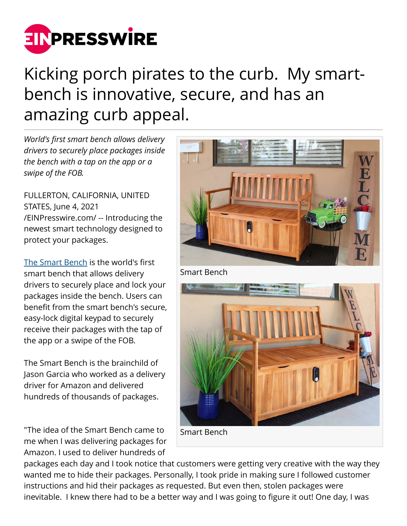

## Kicking porch pirates to the curb. My smartbench is innovative, secure, and has an amazing curb appeal.

*World's first smart bench allows delivery drivers to securely place packages inside the bench with a tap on the app or a swipe of the FOB.*

FULLERTON, CALIFORNIA, UNITED STATES, June 4, 2021 [/EINPresswire.com/](http://www.einpresswire.com) -- Introducing the newest smart technology designed to protect your packages.

[The Smart Bench](https://www.indiegogo.com/projects/discover-the-world-s-first-smart-bench/reft/14588577/PR-1) is the world's first smart bench that allows delivery drivers to securely place and lock your packages inside the bench. Users can benefit from the smart bench's secure, easy-lock digital keypad to securely receive their packages with the tap of the app or a swipe of the FOB.

The Smart Bench is the brainchild of Jason Garcia who worked as a delivery driver for Amazon and delivered hundreds of thousands of packages.

"The idea of the Smart Bench came to me when I was delivering packages for Amazon. I used to deliver hundreds of



Smart Bench

packages each day and I took notice that customers were getting very creative with the way they wanted me to hide their packages. Personally, I took pride in making sure I followed customer instructions and hid their packages as requested. But even then, stolen packages were inevitable. I knew there had to be a better way and I was going to figure it out! One day, I was